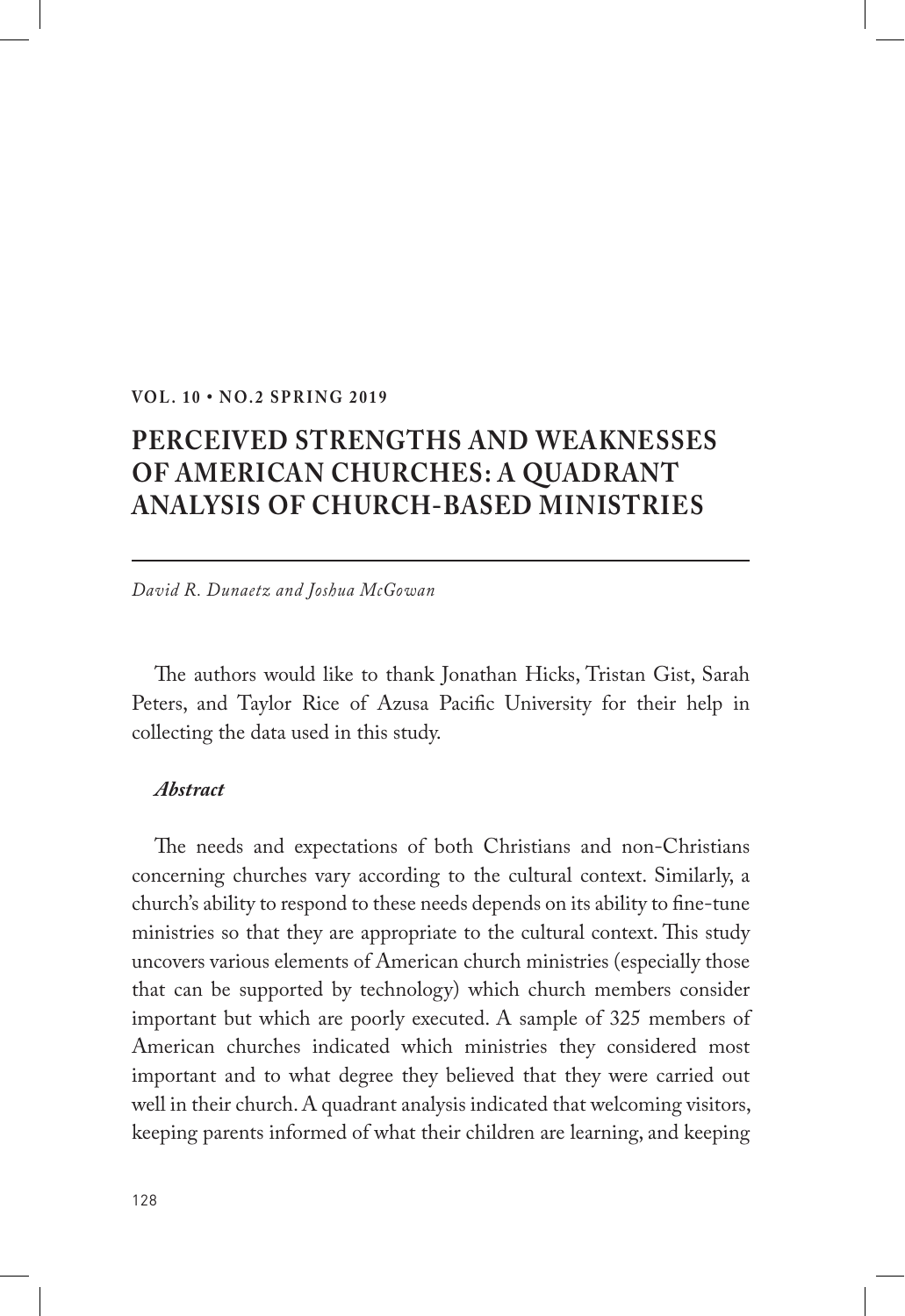#### **VOL. 10 • NO.2 SPRING 2019**

# **PERCEIVED STRENGTHS AND WEAKNESSES OF AMERICAN CHURCHES: A QUADRANT ANALYSIS OF CHURCH-BASED MINISTRIES**

*David R. Dunaetz and Joshua McGowan*

The authors would like to thank Jonathan Hicks, Tristan Gist, Sarah Peters, and Taylor Rice of Azusa Pacific University for their help in collecting the data used in this study.

#### *Abstract*

The needs and expectations of both Christians and non-Christians concerning churches vary according to the cultural context. Similarly, a church's ability to respond to these needs depends on its ability to fine-tune ministries so that they are appropriate to the cultural context. This study uncovers various elements of American church ministries (especially those that can be supported by technology) which church members consider important but which are poorly executed. A sample of 325 members of American churches indicated which ministries they considered most important and to what degree they believed that they were carried out well in their church. A quadrant analysis indicated that welcoming visitors, keeping parents informed of what their children are learning, and keeping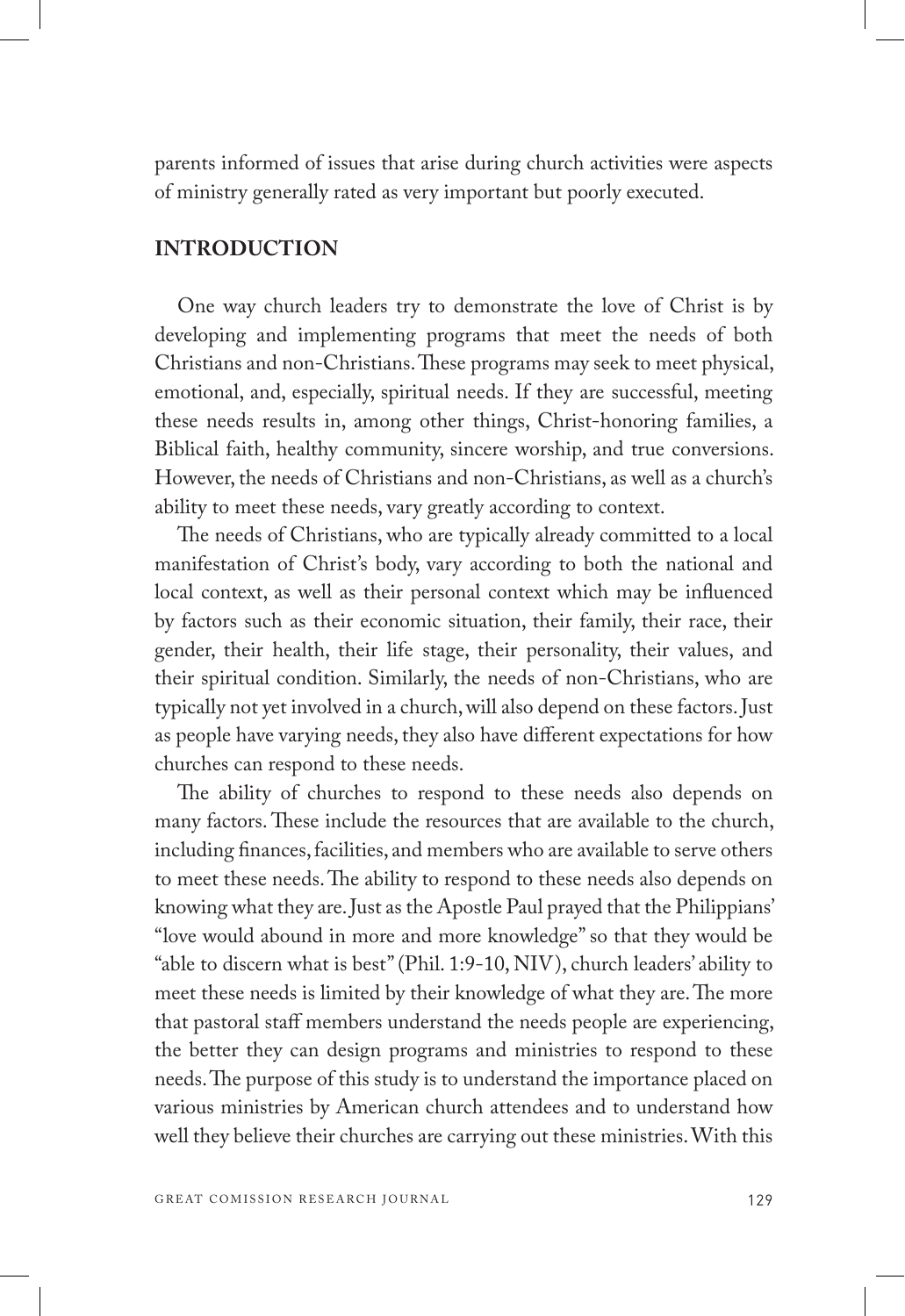parents informed of issues that arise during church activities were aspects of ministry generally rated as very important but poorly executed.

## **INTRODUCTION**

One way church leaders try to demonstrate the love of Christ is by developing and implementing programs that meet the needs of both Christians and non-Christians. These programs may seek to meet physical, emotional, and, especially, spiritual needs. If they are successful, meeting these needs results in, among other things, Christ-honoring families, a Biblical faith, healthy community, sincere worship, and true conversions. However, the needs of Christians and non-Christians, as well as a church's ability to meet these needs, vary greatly according to context.

The needs of Christians, who are typically already committed to a local manifestation of Christ's body, vary according to both the national and local context, as well as their personal context which may be influenced by factors such as their economic situation, their family, their race, their gender, their health, their life stage, their personality, their values, and their spiritual condition. Similarly, the needs of non-Christians, who are typically not yet involved in a church, will also depend on these factors. Just as people have varying needs, they also have different expectations for how churches can respond to these needs.

The ability of churches to respond to these needs also depends on many factors. These include the resources that are available to the church, including finances, facilities, and members who are available to serve others to meet these needs. The ability to respond to these needs also depends on knowing what they are. Just as the Apostle Paul prayed that the Philippians' "love would abound in more and more knowledge" so that they would be "able to discern what is best" (Phil. 1:9-10, NIV), church leaders' ability to meet these needs is limited by their knowledge of what they are. The more that pastoral staff members understand the needs people are experiencing, the better they can design programs and ministries to respond to these needs. The purpose of this study is to understand the importance placed on various ministries by American church attendees and to understand how well they believe their churches are carrying out these ministries. With this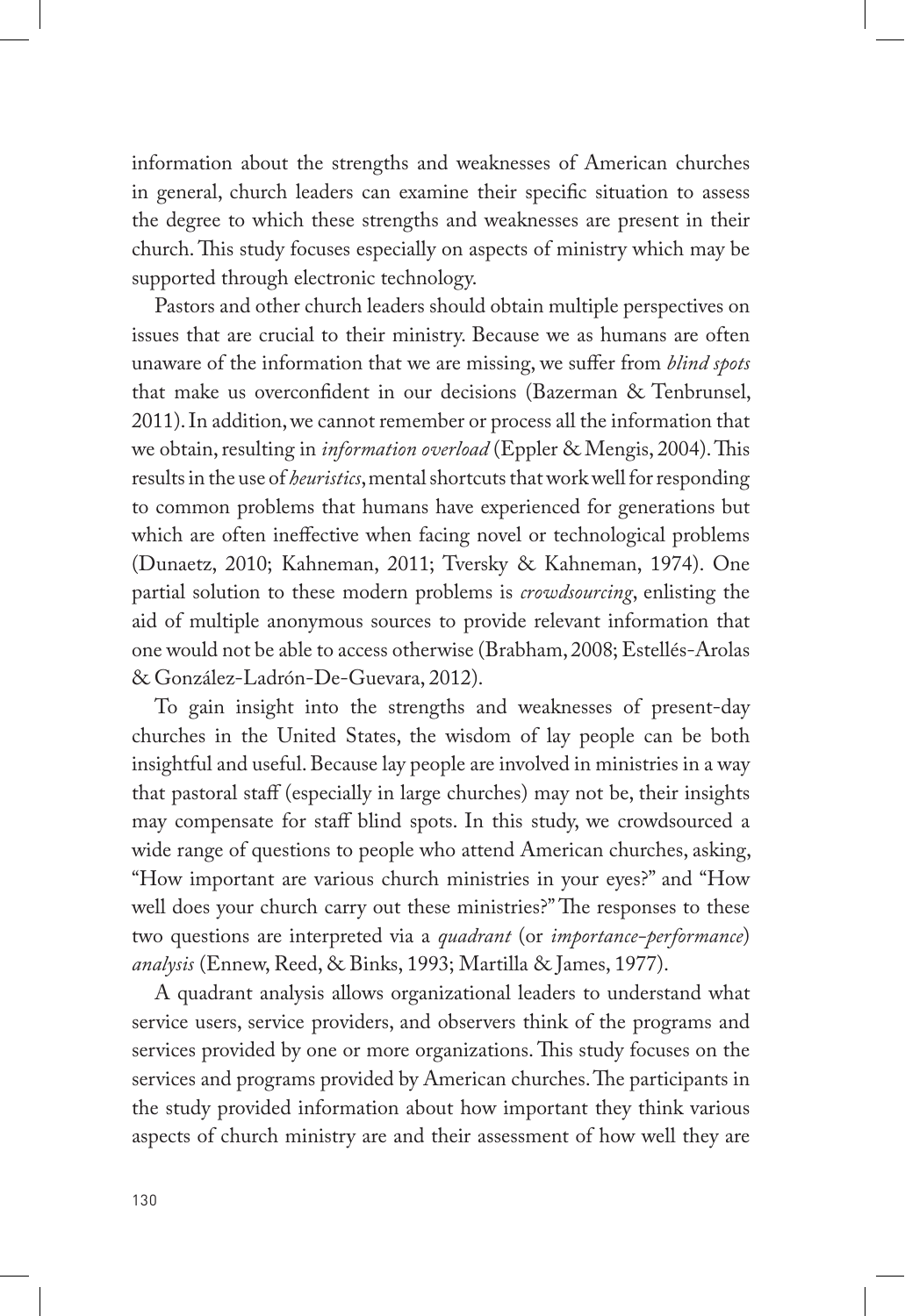information about the strengths and weaknesses of American churches in general, church leaders can examine their specific situation to assess the degree to which these strengths and weaknesses are present in their church. This study focuses especially on aspects of ministry which may be supported through electronic technology.

Pastors and other church leaders should obtain multiple perspectives on issues that are crucial to their ministry. Because we as humans are often unaware of the information that we are missing, we suffer from *blind spots*  that make us overconfident in our decisions (Bazerman & Tenbrunsel, 2011). In addition, we cannot remember or process all the information that we obtain, resulting in *information overload* (Eppler & Mengis, 2004). This results in the use of *heuristics*, mental shortcuts that work well for responding to common problems that humans have experienced for generations but which are often ineffective when facing novel or technological problems (Dunaetz, 2010; Kahneman, 2011; Tversky & Kahneman, 1974). One partial solution to these modern problems is *crowdsourcing*, enlisting the aid of multiple anonymous sources to provide relevant information that one would not be able to access otherwise (Brabham, 2008; Estellés-Arolas & González-Ladrón-De-Guevara, 2012).

To gain insight into the strengths and weaknesses of present-day churches in the United States, the wisdom of lay people can be both insightful and useful. Because lay people are involved in ministries in a way that pastoral staff (especially in large churches) may not be, their insights may compensate for staff blind spots. In this study, we crowdsourced a wide range of questions to people who attend American churches, asking, "How important are various church ministries in your eyes?" and "How well does your church carry out these ministries?" The responses to these two questions are interpreted via a *quadrant* (or *importance-performance*) *analysis* (Ennew, Reed, & Binks, 1993; Martilla & James, 1977).

A quadrant analysis allows organizational leaders to understand what service users, service providers, and observers think of the programs and services provided by one or more organizations. This study focuses on the services and programs provided by American churches. The participants in the study provided information about how important they think various aspects of church ministry are and their assessment of how well they are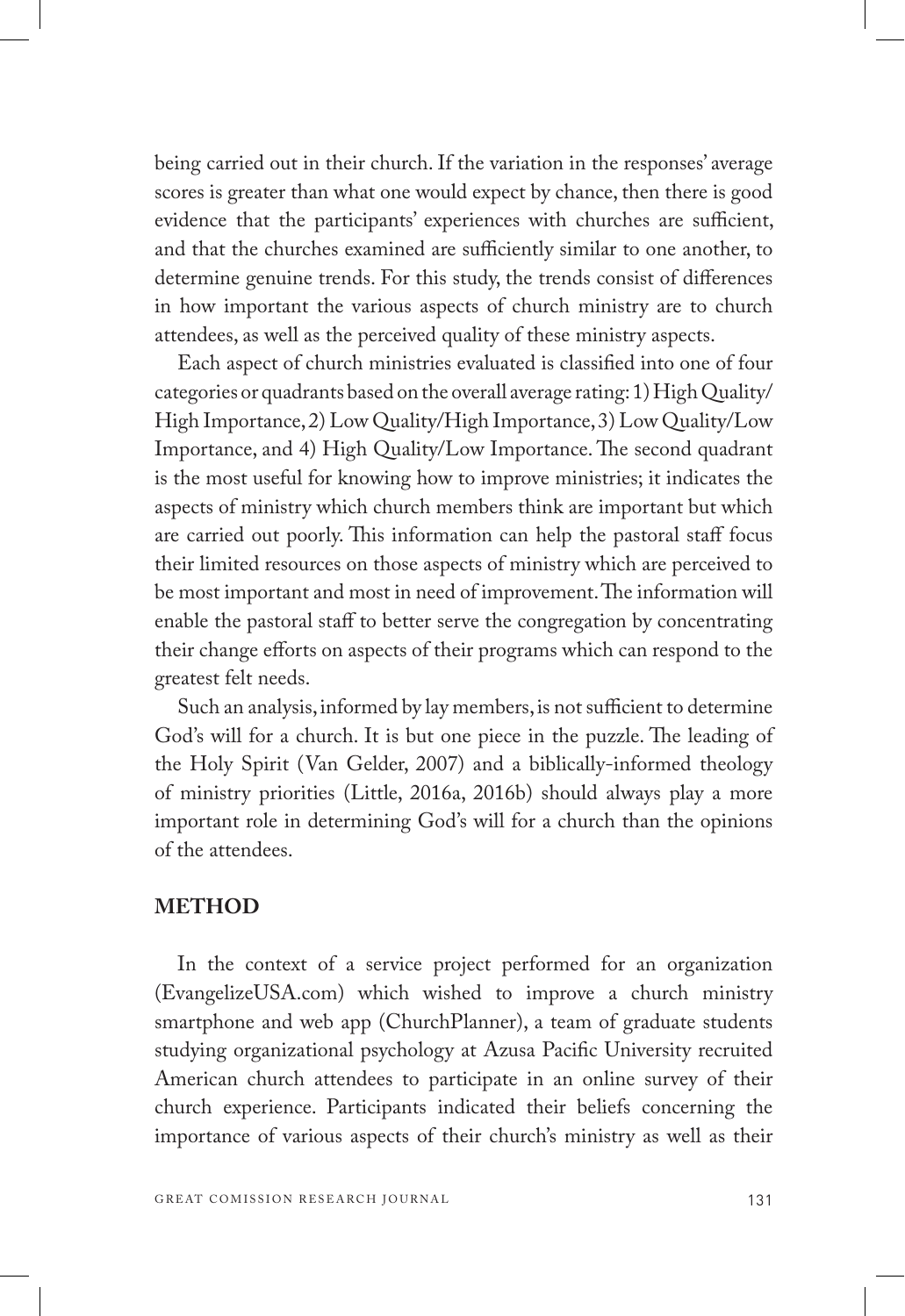being carried out in their church. If the variation in the responses' average scores is greater than what one would expect by chance, then there is good evidence that the participants' experiences with churches are sufficient, and that the churches examined are sufficiently similar to one another, to determine genuine trends. For this study, the trends consist of differences in how important the various aspects of church ministry are to church attendees, as well as the perceived quality of these ministry aspects.

Each aspect of church ministries evaluated is classified into one of four categories or quadrants based on the overall average rating: 1) High Quality/ High Importance, 2) Low Quality/High Importance, 3) Low Quality/Low Importance, and 4) High Quality/Low Importance. The second quadrant is the most useful for knowing how to improve ministries; it indicates the aspects of ministry which church members think are important but which are carried out poorly. This information can help the pastoral staff focus their limited resources on those aspects of ministry which are perceived to be most important and most in need of improvement. The information will enable the pastoral staff to better serve the congregation by concentrating their change efforts on aspects of their programs which can respond to the greatest felt needs.

Such an analysis, informed by lay members, is not sufficient to determine God's will for a church. It is but one piece in the puzzle. The leading of the Holy Spirit (Van Gelder, 2007) and a biblically-informed theology of ministry priorities (Little, 2016a, 2016b) should always play a more important role in determining God's will for a church than the opinions of the attendees.

## **METHOD**

In the context of a service project performed for an organization (EvangelizeUSA.com) which wished to improve a church ministry smartphone and web app (ChurchPlanner), a team of graduate students studying organizational psychology at Azusa Pacific University recruited American church attendees to participate in an online survey of their church experience. Participants indicated their beliefs concerning the importance of various aspects of their church's ministry as well as their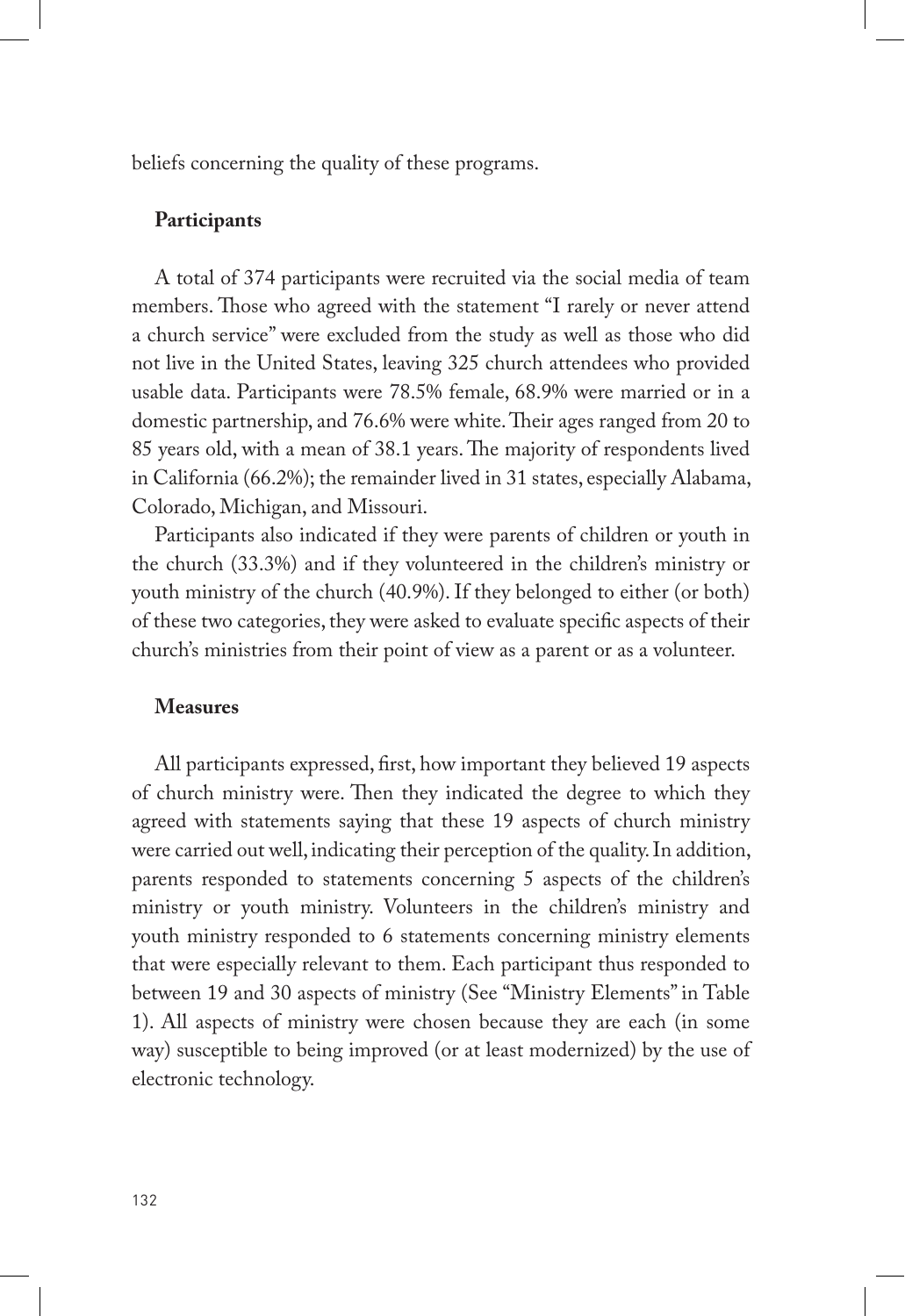beliefs concerning the quality of these programs.

#### **Participants**

A total of 374 participants were recruited via the social media of team members. Those who agreed with the statement "I rarely or never attend a church service" were excluded from the study as well as those who did not live in the United States, leaving 325 church attendees who provided usable data. Participants were 78.5% female, 68.9% were married or in a domestic partnership, and 76.6% were white. Their ages ranged from 20 to 85 years old, with a mean of 38.1 years. The majority of respondents lived in California (66.2%); the remainder lived in 31 states, especially Alabama, Colorado, Michigan, and Missouri.

Participants also indicated if they were parents of children or youth in the church (33.3%) and if they volunteered in the children's ministry or youth ministry of the church (40.9%). If they belonged to either (or both) of these two categories, they were asked to evaluate specific aspects of their church's ministries from their point of view as a parent or as a volunteer.

#### **Measures**

All participants expressed, first, how important they believed 19 aspects of church ministry were. Then they indicated the degree to which they agreed with statements saying that these 19 aspects of church ministry were carried out well, indicating their perception of the quality. In addition, parents responded to statements concerning 5 aspects of the children's ministry or youth ministry. Volunteers in the children's ministry and youth ministry responded to 6 statements concerning ministry elements that were especially relevant to them. Each participant thus responded to between 19 and 30 aspects of ministry (See "Ministry Elements" in Table 1). All aspects of ministry were chosen because they are each (in some way) susceptible to being improved (or at least modernized) by the use of electronic technology.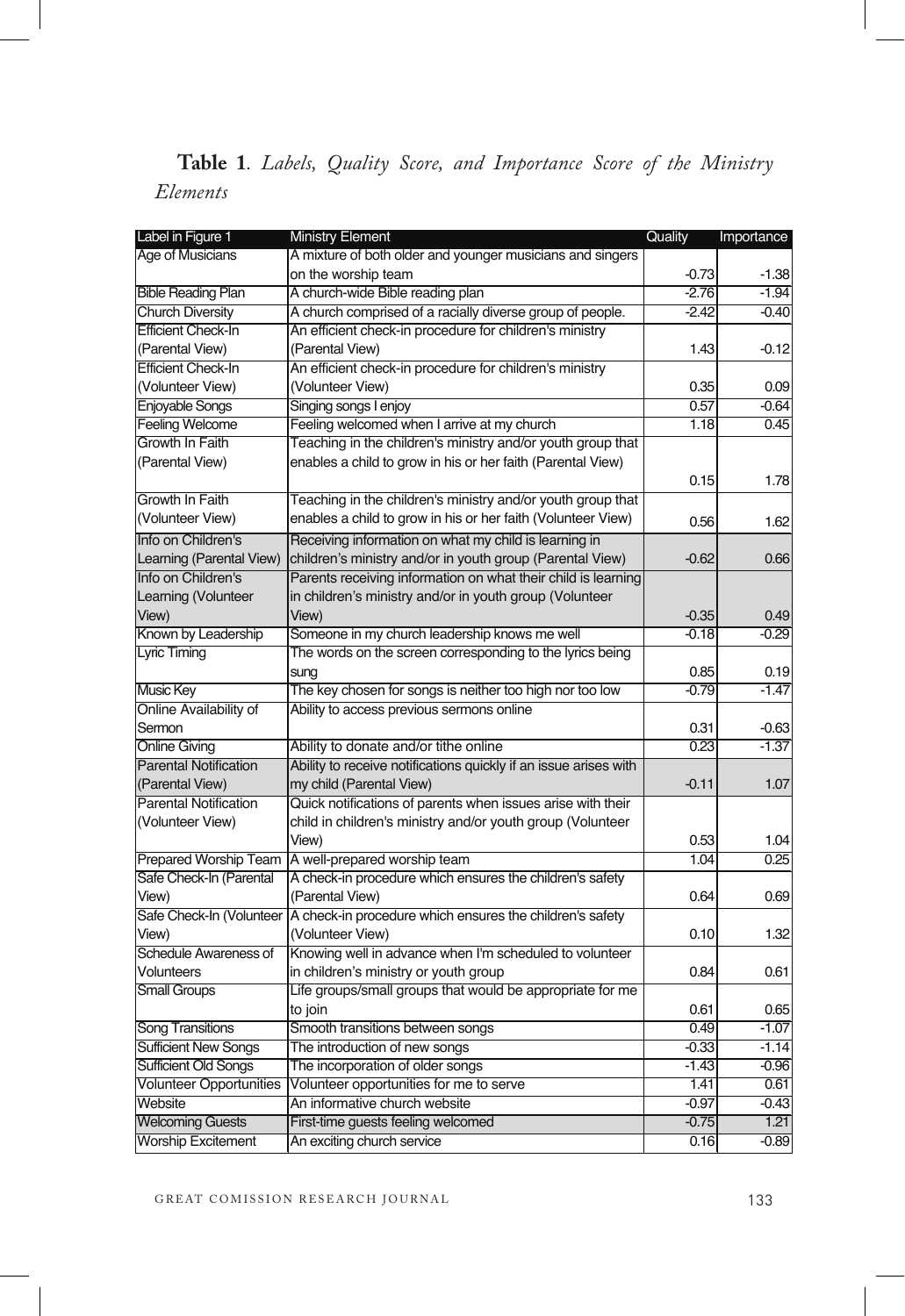## **Table 1***. Labels, Quality Score, and Importance Score of the Ministry Elements*

| Label in Figure 1              | <b>Ministry Element</b>                                          | Quality | Importance |
|--------------------------------|------------------------------------------------------------------|---------|------------|
| Age of Musicians               | A mixture of both older and younger musicians and singers        |         |            |
|                                | on the worship team                                              | $-0.73$ | $-1.38$    |
| <b>Bible Reading Plan</b>      | A church-wide Bible reading plan                                 | $-2.76$ | $-1.94$    |
| <b>Church Diversity</b>        | A church comprised of a racially diverse group of people.        | $-2.42$ | $-0.40$    |
| <b>Efficient Check-In</b>      | An efficient check-in procedure for children's ministry          |         |            |
| (Parental View)                | (Parental View)                                                  | 1.43    | $-0.12$    |
| <b>Efficient Check-In</b>      | An efficient check-in procedure for children's ministry          |         |            |
| (Volunteer View)               | (Volunteer View)                                                 | 0.35    | 0.09       |
| <b>Enjoyable Songs</b>         | Singing songs I enjoy                                            | 0.57    | $-0.64$    |
| <b>Feeling Welcome</b>         | Feeling welcomed when I arrive at my church                      | 1.18    | 0.45       |
| Growth In Faith                | Teaching in the children's ministry and/or youth group that      |         |            |
| (Parental View)                | enables a child to grow in his or her faith (Parental View)      |         |            |
|                                |                                                                  | 0.15    | 1.78       |
| Growth In Faith                | Teaching in the children's ministry and/or youth group that      |         |            |
| (Volunteer View)               | enables a child to grow in his or her faith (Volunteer View)     | 0.56    | 1.62       |
| Info on Children's             | Receiving information on what my child is learning in            |         |            |
| Learning (Parental View)       | children's ministry and/or in youth group (Parental View)        | $-0.62$ | 0.66       |
| Info on Children's             | Parents receiving information on what their child is learning    |         |            |
| Learning (Volunteer            | in children's ministry and/or in youth group (Volunteer          |         |            |
| View)                          | View)                                                            | $-0.35$ | 0.49       |
| Known by Leadership            | Someone in my church leadership knows me well                    | $-0.18$ | $-0.29$    |
| Lyric Timing                   | The words on the screen corresponding to the lyrics being        |         |            |
|                                | sung                                                             | 0.85    | 0.19       |
| Music Key                      | The key chosen for songs is neither too high nor too low         | $-0.79$ | $-1.47$    |
| Online Availability of         | Ability to access previous sermons online                        |         |            |
| Sermon                         |                                                                  | 0.31    | $-0.63$    |
| <b>Online Giving</b>           | Ability to donate and/or tithe online                            | 0.23    | $-1.37$    |
| <b>Parental Notification</b>   | Ability to receive notifications quickly if an issue arises with |         |            |
| (Parental View)                | my child (Parental View)                                         | $-0.11$ | 1.07       |
| <b>Parental Notification</b>   | Quick notifications of parents when issues arise with their      |         |            |
| (Volunteer View)               | child in children's ministry and/or youth group (Volunteer       |         |            |
|                                | View)                                                            | 0.53    | 1.04       |
| Prepared Worship Team          | A well-prepared worship team                                     | 1.04    | 0.25       |
| Safe Check-In (Parental        | A check-in procedure which ensures the children's safety         |         |            |
| View)                          | (Parental View)                                                  | 0.64    | 0.69       |
| Safe Check-In (Volunteer       | A check-in procedure which ensures the children's safety         |         |            |
| View)                          | (Volunteer View)                                                 | 0.10    | 1.32       |
| Schedule Awareness of          | Knowing well in advance when I'm scheduled to volunteer          |         |            |
| <b>Volunteers</b>              | in children's ministry or youth group                            | 0.84    | 0.61       |
| <b>Small Groups</b>            | Life groups/small groups that would be appropriate for me        |         |            |
|                                | to join                                                          | 0.61    | 0.65       |
| Song Transitions               | Smooth transitions between songs                                 | 0.49    | $-1.07$    |
| <b>Sufficient New Songs</b>    | The introduction of new songs                                    | $-0.33$ | $-1.14$    |
| <b>Sufficient Old Songs</b>    | The incorporation of older songs                                 | $-1.43$ | $-0.96$    |
| <b>Volunteer Opportunities</b> | Volunteer opportunities for me to serve                          | 1.41    | 0.61       |
| Website                        | An informative church website                                    | $-0.97$ | $-0.43$    |
| <b>Welcoming Guests</b>        | First-time guests feeling welcomed                               | $-0.75$ | 1.21       |
| <b>Worship Excitement</b>      | An exciting church service                                       | 0.16    | $-0.89$    |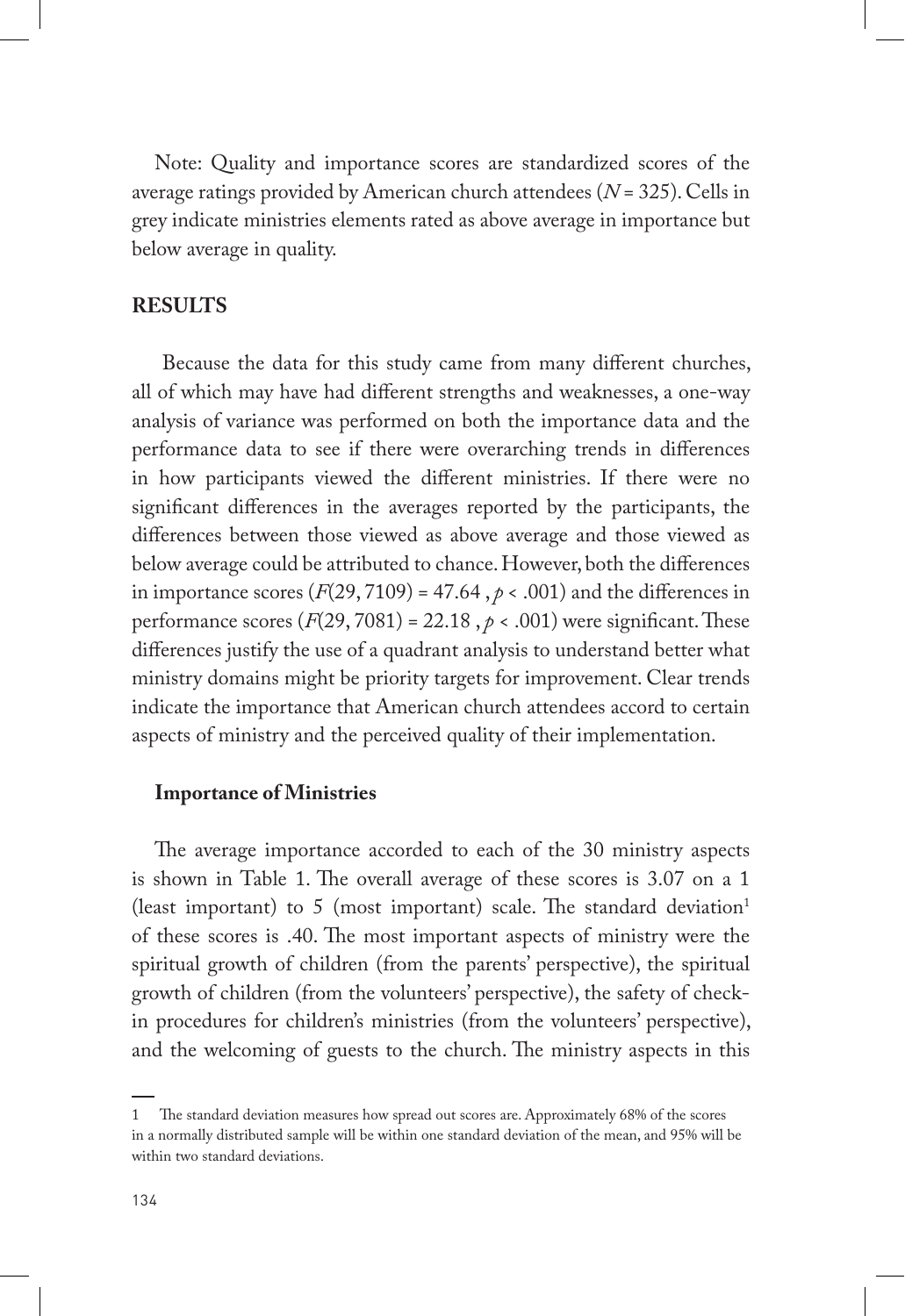Note: Quality and importance scores are standardized scores of the average ratings provided by American church attendees (*N* = 325). Cells in grey indicate ministries elements rated as above average in importance but below average in quality.

## **RESULTS**

 Because the data for this study came from many different churches, all of which may have had different strengths and weaknesses, a one-way analysis of variance was performed on both the importance data and the performance data to see if there were overarching trends in differences in how participants viewed the different ministries. If there were no significant differences in the averages reported by the participants, the differences between those viewed as above average and those viewed as below average could be attributed to chance. However, both the differences in importance scores  $(F(29, 7109) = 47.64, p < .001)$  and the differences in performance scores  $(F(29, 7081) = 22.18$ ,  $p < .001$ ) were significant. These differences justify the use of a quadrant analysis to understand better what ministry domains might be priority targets for improvement. Clear trends indicate the importance that American church attendees accord to certain aspects of ministry and the perceived quality of their implementation.

## **Importance of Ministries**

The average importance accorded to each of the 30 ministry aspects is shown in Table 1. The overall average of these scores is 3.07 on a 1 (least important) to 5 (most important) scale. The standard deviation<sup>1</sup> of these scores is .40. The most important aspects of ministry were the spiritual growth of children (from the parents' perspective), the spiritual growth of children (from the volunteers' perspective), the safety of checkin procedures for children's ministries (from the volunteers' perspective), and the welcoming of guests to the church. The ministry aspects in this

<sup>1</sup> The standard deviation measures how spread out scores are. Approximately 68% of the scores in a normally distributed sample will be within one standard deviation of the mean, and 95% will be within two standard deviations.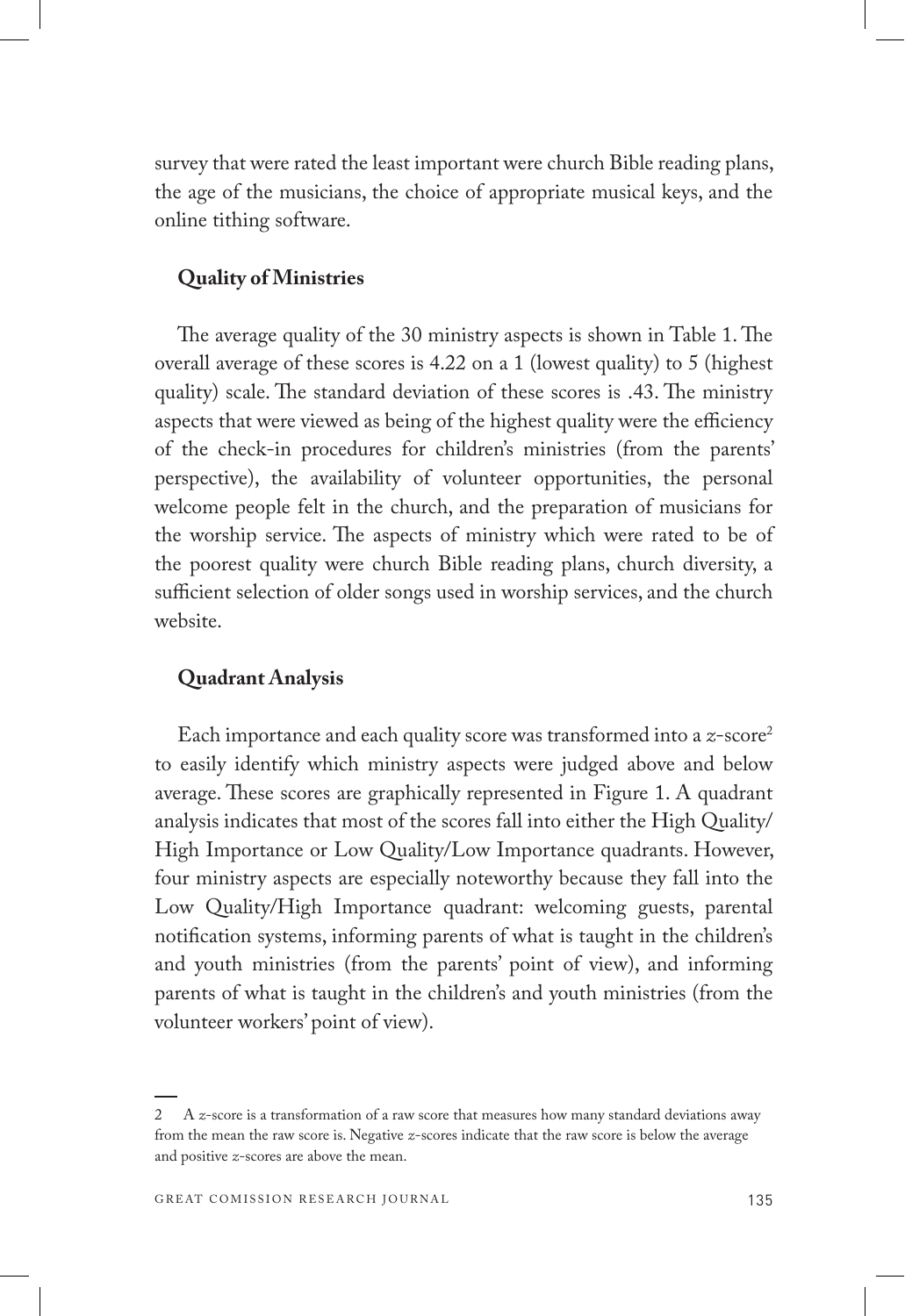survey that were rated the least important were church Bible reading plans, the age of the musicians, the choice of appropriate musical keys, and the online tithing software.

## **Quality of Ministries**

The average quality of the 30 ministry aspects is shown in Table 1. The overall average of these scores is 4.22 on a 1 (lowest quality) to 5 (highest quality) scale. The standard deviation of these scores is .43. The ministry aspects that were viewed as being of the highest quality were the efficiency of the check-in procedures for children's ministries (from the parents' perspective), the availability of volunteer opportunities, the personal welcome people felt in the church, and the preparation of musicians for the worship service. The aspects of ministry which were rated to be of the poorest quality were church Bible reading plans, church diversity, a sufficient selection of older songs used in worship services, and the church website.

#### **Quadrant Analysis**

Each importance and each quality score was transformed into a *z*-score2 to easily identify which ministry aspects were judged above and below average. These scores are graphically represented in Figure 1. A quadrant analysis indicates that most of the scores fall into either the High Quality/ High Importance or Low Quality/Low Importance quadrants. However, four ministry aspects are especially noteworthy because they fall into the Low Quality/High Importance quadrant: welcoming guests, parental notification systems, informing parents of what is taught in the children's and youth ministries (from the parents' point of view), and informing parents of what is taught in the children's and youth ministries (from the volunteer workers' point of view).

<sup>2</sup> A *z*-score is a transformation of a raw score that measures how many standard deviations away from the mean the raw score is. Negative *z*-scores indicate that the raw score is below the average and positive *z*-scores are above the mean.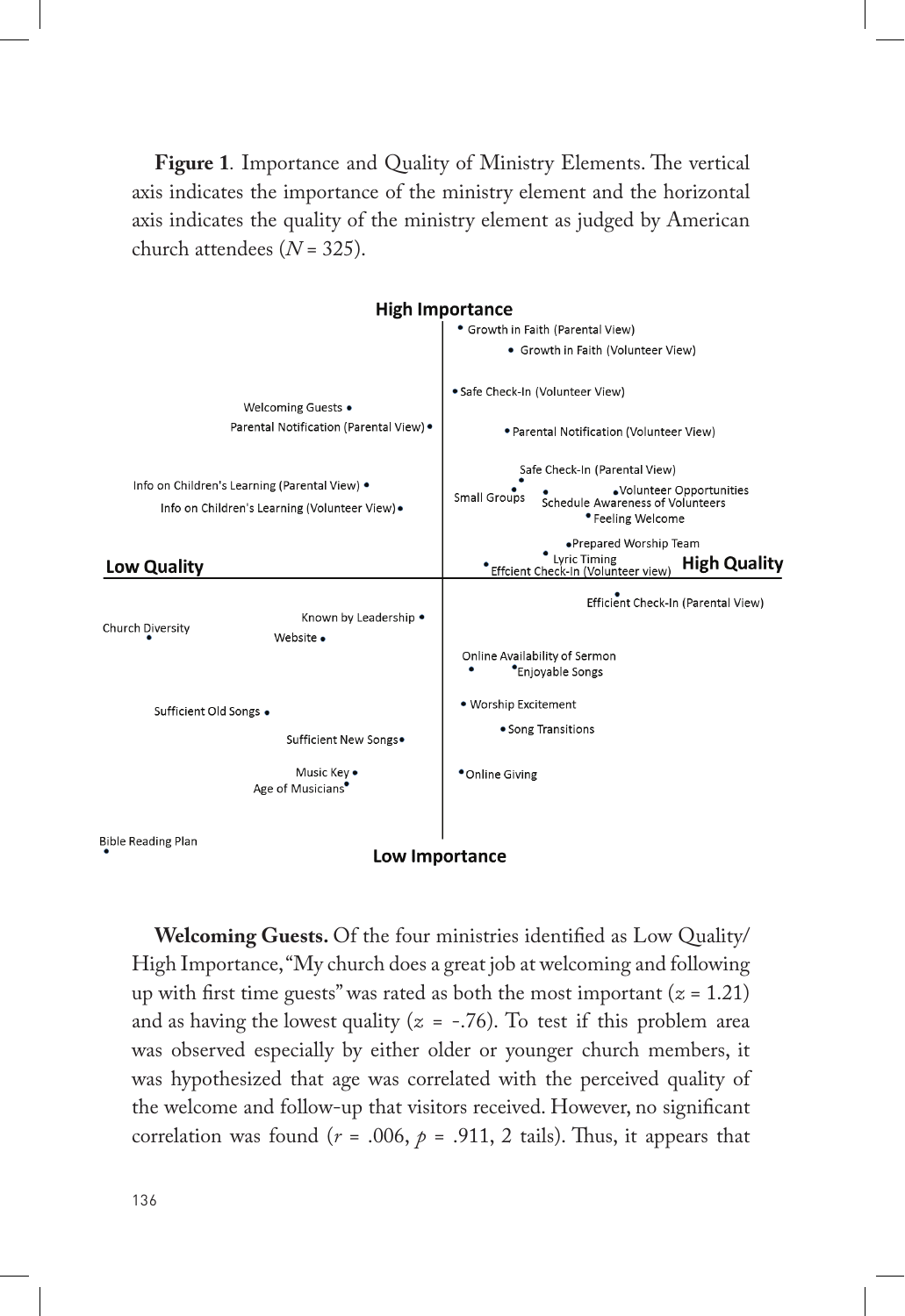**Figure 1***.* Importance and Quality of Ministry Elements. The vertical axis indicates the importance of the ministry element and the horizontal axis indicates the quality of the ministry element as judged by American church attendees (*N* = 325).



**Welcoming Guests.** Of the four ministries identified as Low Quality/ High Importance, "My church does a great job at welcoming and following up with first time guests" was rated as both the most important  $(z = 1.21)$ and as having the lowest quality  $(z = -.76)$ . To test if this problem area was observed especially by either older or younger church members, it was hypothesized that age was correlated with the perceived quality of the welcome and follow-up that visitors received. However, no significant correlation was found ( $r = .006$ ,  $p = .911$ , 2 tails). Thus, it appears that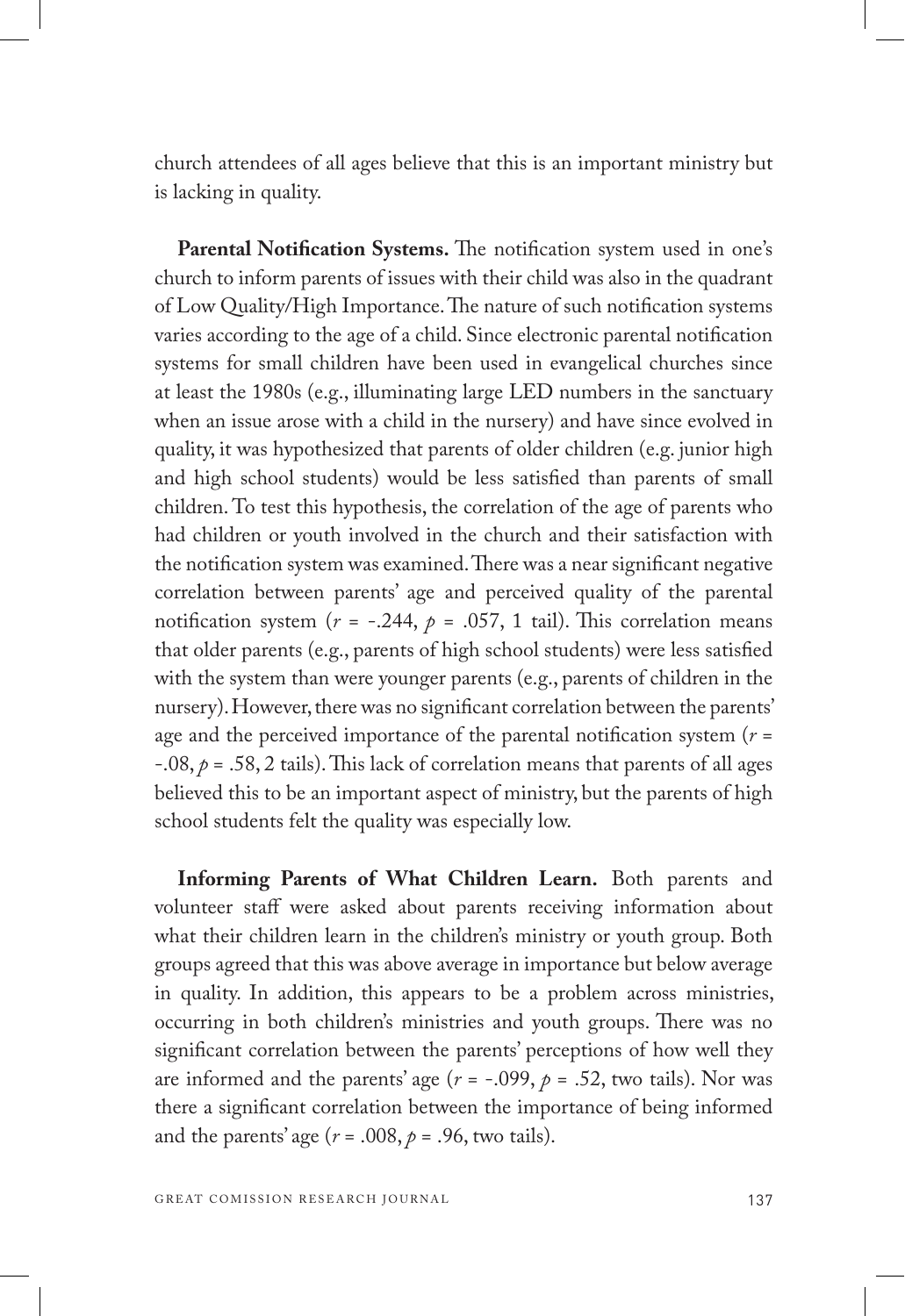church attendees of all ages believe that this is an important ministry but is lacking in quality.

**Parental Notification Systems.** The notification system used in one's church to inform parents of issues with their child was also in the quadrant of Low Quality/High Importance. The nature of such notification systems varies according to the age of a child. Since electronic parental notification systems for small children have been used in evangelical churches since at least the 1980s (e.g., illuminating large LED numbers in the sanctuary when an issue arose with a child in the nursery) and have since evolved in quality, it was hypothesized that parents of older children (e.g. junior high and high school students) would be less satisfied than parents of small children. To test this hypothesis, the correlation of the age of parents who had children or youth involved in the church and their satisfaction with the notification system was examined. There was a near significant negative correlation between parents' age and perceived quality of the parental notification system ( $r = -.244$ ,  $p = .057$ , 1 tail). This correlation means that older parents (e.g., parents of high school students) were less satisfied with the system than were younger parents (e.g., parents of children in the nursery). However, there was no significant correlation between the parents' age and the perceived importance of the parental notification system (*r* = -.08, *p* = .58, 2 tails). This lack of correlation means that parents of all ages believed this to be an important aspect of ministry, but the parents of high school students felt the quality was especially low.

**Informing Parents of What Children Learn.** Both parents and volunteer staff were asked about parents receiving information about what their children learn in the children's ministry or youth group. Both groups agreed that this was above average in importance but below average in quality. In addition, this appears to be a problem across ministries, occurring in both children's ministries and youth groups. There was no significant correlation between the parents' perceptions of how well they are informed and the parents' age  $(r = -.099, p = .52,$  two tails). Nor was there a significant correlation between the importance of being informed and the parents' age  $(r = .008, p = .96,$  two tails).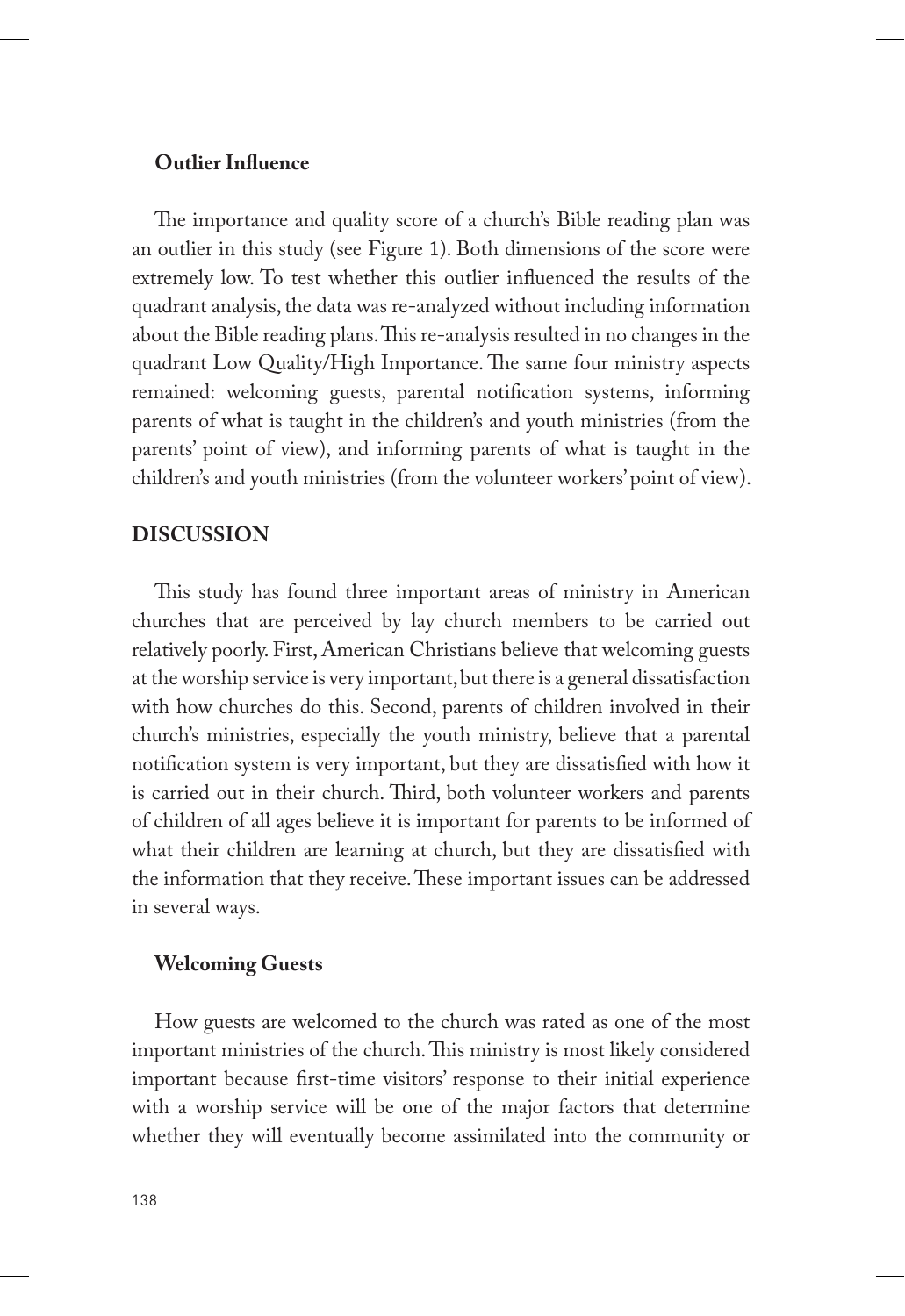## **Outlier Influence**

The importance and quality score of a church's Bible reading plan was an outlier in this study (see Figure 1). Both dimensions of the score were extremely low. To test whether this outlier influenced the results of the quadrant analysis, the data was re-analyzed without including information about the Bible reading plans. This re-analysis resulted in no changes in the quadrant Low Quality/High Importance. The same four ministry aspects remained: welcoming guests, parental notification systems, informing parents of what is taught in the children's and youth ministries (from the parents' point of view), and informing parents of what is taught in the children's and youth ministries (from the volunteer workers' point of view).

## **DISCUSSION**

This study has found three important areas of ministry in American churches that are perceived by lay church members to be carried out relatively poorly. First, American Christians believe that welcoming guests at the worship service is very important, but there is a general dissatisfaction with how churches do this. Second, parents of children involved in their church's ministries, especially the youth ministry, believe that a parental notification system is very important, but they are dissatisfied with how it is carried out in their church. Third, both volunteer workers and parents of children of all ages believe it is important for parents to be informed of what their children are learning at church, but they are dissatisfied with the information that they receive. These important issues can be addressed in several ways.

#### **Welcoming Guests**

How guests are welcomed to the church was rated as one of the most important ministries of the church. This ministry is most likely considered important because first-time visitors' response to their initial experience with a worship service will be one of the major factors that determine whether they will eventually become assimilated into the community or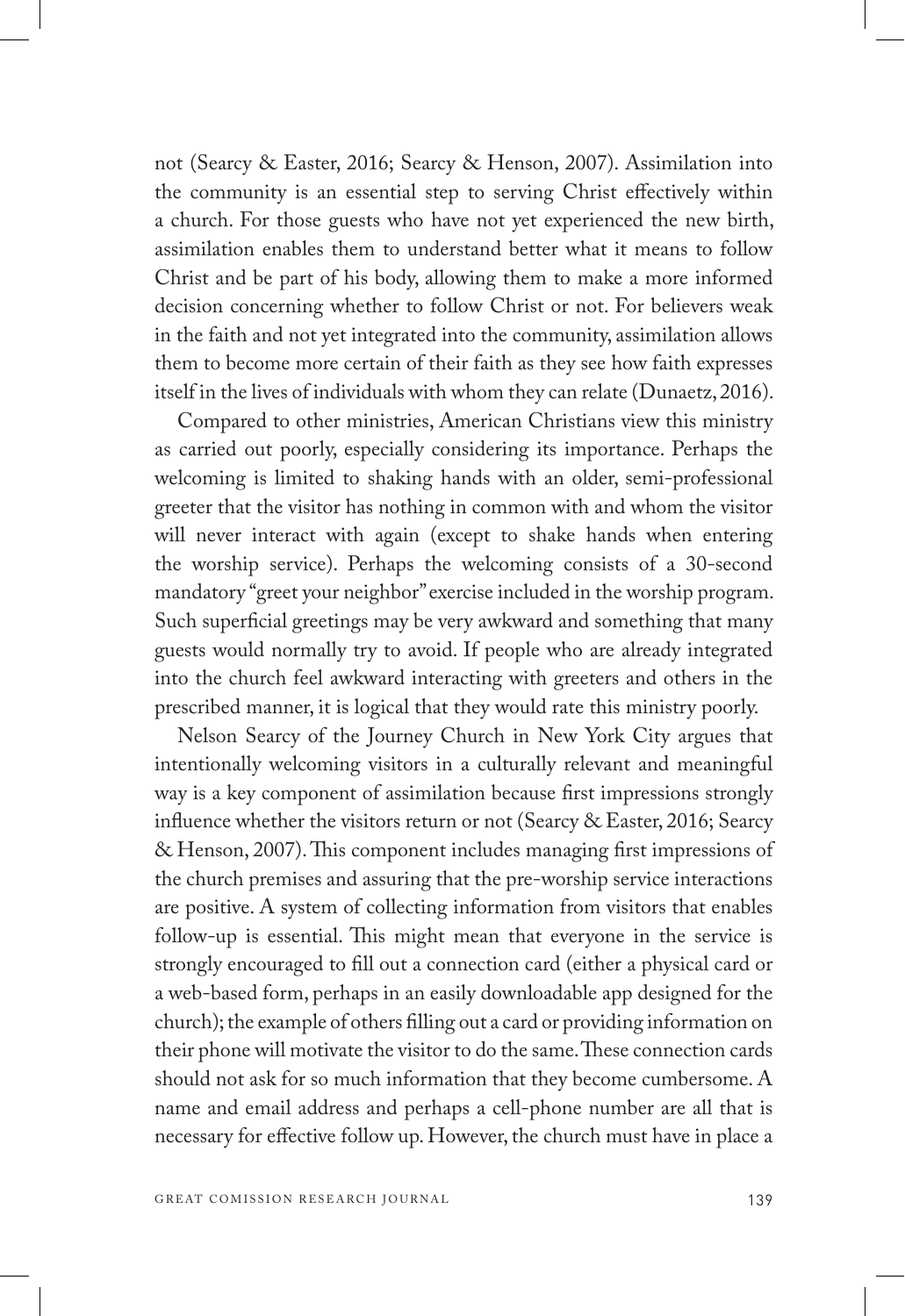not (Searcy & Easter, 2016; Searcy & Henson, 2007). Assimilation into the community is an essential step to serving Christ effectively within a church. For those guests who have not yet experienced the new birth, assimilation enables them to understand better what it means to follow Christ and be part of his body, allowing them to make a more informed decision concerning whether to follow Christ or not. For believers weak in the faith and not yet integrated into the community, assimilation allows them to become more certain of their faith as they see how faith expresses itself in the lives of individuals with whom they can relate (Dunaetz, 2016).

Compared to other ministries, American Christians view this ministry as carried out poorly, especially considering its importance. Perhaps the welcoming is limited to shaking hands with an older, semi-professional greeter that the visitor has nothing in common with and whom the visitor will never interact with again (except to shake hands when entering the worship service). Perhaps the welcoming consists of a 30-second mandatory "greet your neighbor" exercise included in the worship program. Such superficial greetings may be very awkward and something that many guests would normally try to avoid. If people who are already integrated into the church feel awkward interacting with greeters and others in the prescribed manner, it is logical that they would rate this ministry poorly.

Nelson Searcy of the Journey Church in New York City argues that intentionally welcoming visitors in a culturally relevant and meaningful way is a key component of assimilation because first impressions strongly influence whether the visitors return or not (Searcy & Easter, 2016; Searcy & Henson, 2007). This component includes managing first impressions of the church premises and assuring that the pre-worship service interactions are positive. A system of collecting information from visitors that enables follow-up is essential. This might mean that everyone in the service is strongly encouraged to fill out a connection card (either a physical card or a web-based form, perhaps in an easily downloadable app designed for the church); the example of others filling out a card or providing information on their phone will motivate the visitor to do the same. These connection cards should not ask for so much information that they become cumbersome. A name and email address and perhaps a cell-phone number are all that is necessary for effective follow up. However, the church must have in place a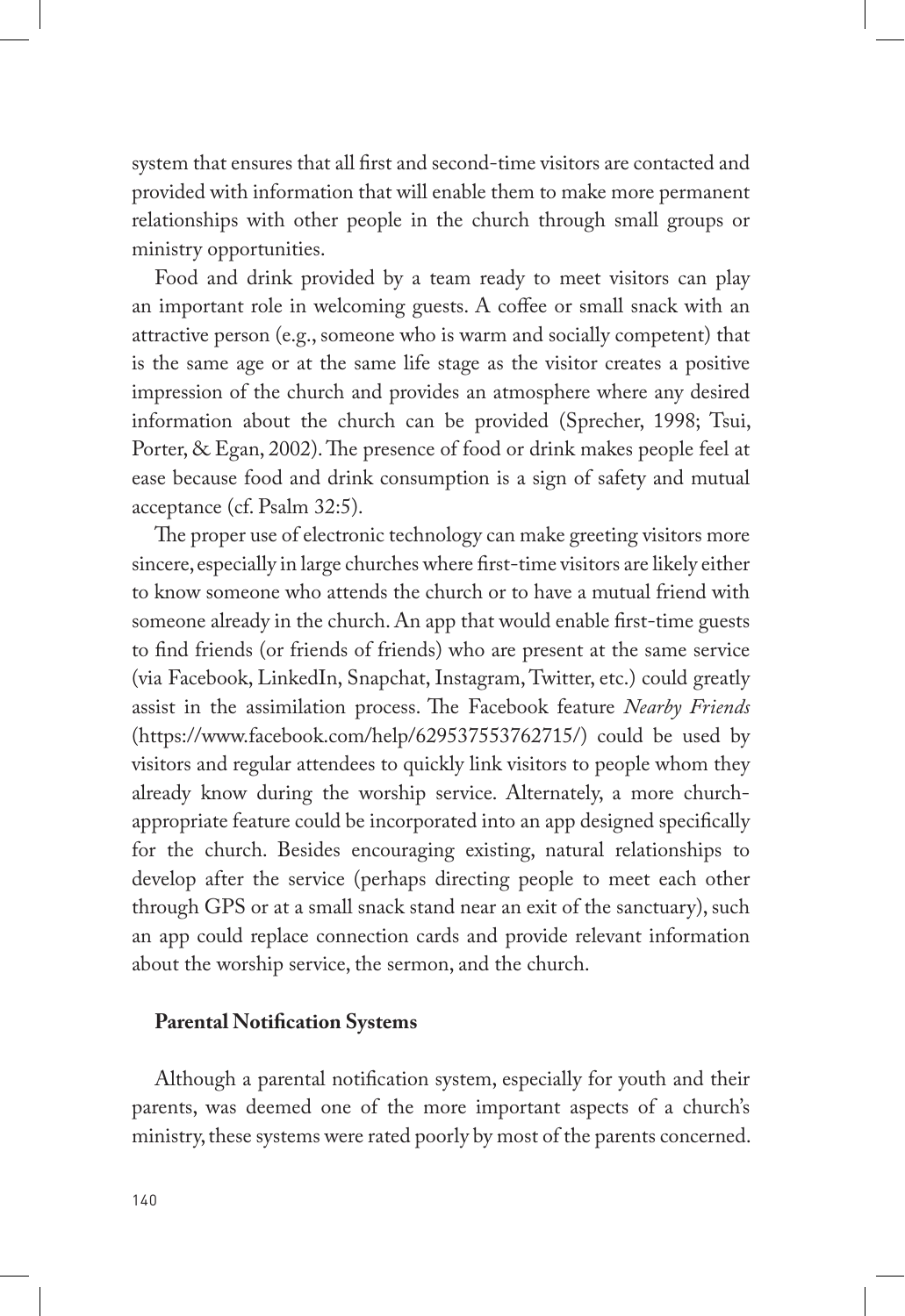system that ensures that all first and second-time visitors are contacted and provided with information that will enable them to make more permanent relationships with other people in the church through small groups or ministry opportunities.

Food and drink provided by a team ready to meet visitors can play an important role in welcoming guests. A coffee or small snack with an attractive person (e.g., someone who is warm and socially competent) that is the same age or at the same life stage as the visitor creates a positive impression of the church and provides an atmosphere where any desired information about the church can be provided (Sprecher, 1998; Tsui, Porter, & Egan, 2002). The presence of food or drink makes people feel at ease because food and drink consumption is a sign of safety and mutual acceptance (cf. Psalm 32:5).

The proper use of electronic technology can make greeting visitors more sincere, especially in large churches where first-time visitors are likely either to know someone who attends the church or to have a mutual friend with someone already in the church. An app that would enable first-time guests to find friends (or friends of friends) who are present at the same service (via Facebook, LinkedIn, Snapchat, Instagram, Twitter, etc.) could greatly assist in the assimilation process. The Facebook feature *Nearby Friends* (https://www.facebook.com/help/629537553762715/) could be used by visitors and regular attendees to quickly link visitors to people whom they already know during the worship service. Alternately, a more churchappropriate feature could be incorporated into an app designed specifically for the church. Besides encouraging existing, natural relationships to develop after the service (perhaps directing people to meet each other through GPS or at a small snack stand near an exit of the sanctuary), such an app could replace connection cards and provide relevant information about the worship service, the sermon, and the church.

#### **Parental Notification Systems**

Although a parental notification system, especially for youth and their parents, was deemed one of the more important aspects of a church's ministry, these systems were rated poorly by most of the parents concerned.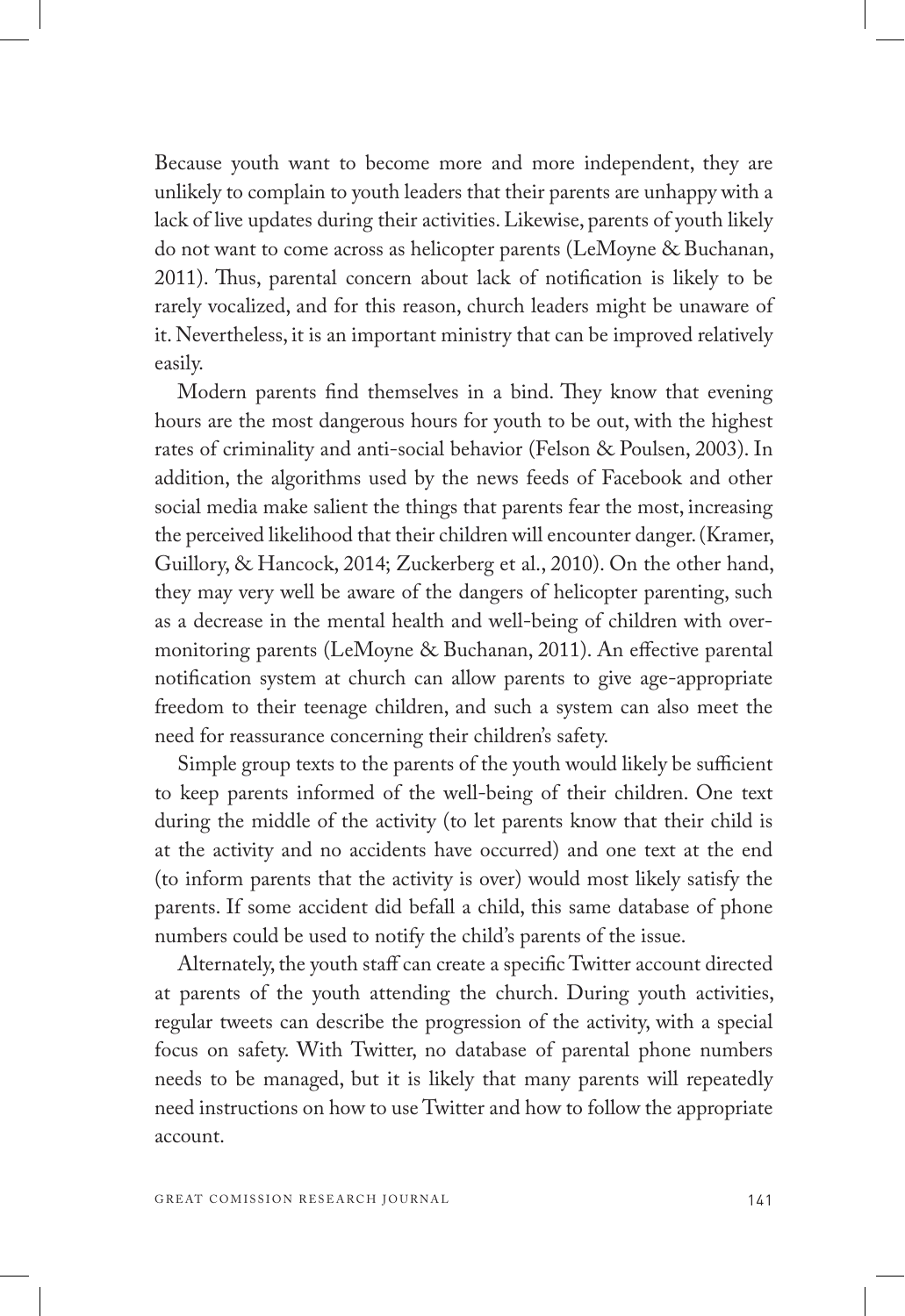Because youth want to become more and more independent, they are unlikely to complain to youth leaders that their parents are unhappy with a lack of live updates during their activities. Likewise, parents of youth likely do not want to come across as helicopter parents (LeMoyne & Buchanan, 2011). Thus, parental concern about lack of notification is likely to be rarely vocalized, and for this reason, church leaders might be unaware of it. Nevertheless, it is an important ministry that can be improved relatively easily.

Modern parents find themselves in a bind. They know that evening hours are the most dangerous hours for youth to be out, with the highest rates of criminality and anti-social behavior (Felson & Poulsen, 2003). In addition, the algorithms used by the news feeds of Facebook and other social media make salient the things that parents fear the most, increasing the perceived likelihood that their children will encounter danger. (Kramer, Guillory, & Hancock, 2014; Zuckerberg et al., 2010). On the other hand, they may very well be aware of the dangers of helicopter parenting, such as a decrease in the mental health and well-being of children with overmonitoring parents (LeMoyne & Buchanan, 2011). An effective parental notification system at church can allow parents to give age-appropriate freedom to their teenage children, and such a system can also meet the need for reassurance concerning their children's safety.

Simple group texts to the parents of the youth would likely be sufficient to keep parents informed of the well-being of their children. One text during the middle of the activity (to let parents know that their child is at the activity and no accidents have occurred) and one text at the end (to inform parents that the activity is over) would most likely satisfy the parents. If some accident did befall a child, this same database of phone numbers could be used to notify the child's parents of the issue.

Alternately, the youth staff can create a specific Twitter account directed at parents of the youth attending the church. During youth activities, regular tweets can describe the progression of the activity, with a special focus on safety. With Twitter, no database of parental phone numbers needs to be managed, but it is likely that many parents will repeatedly need instructions on how to use Twitter and how to follow the appropriate account.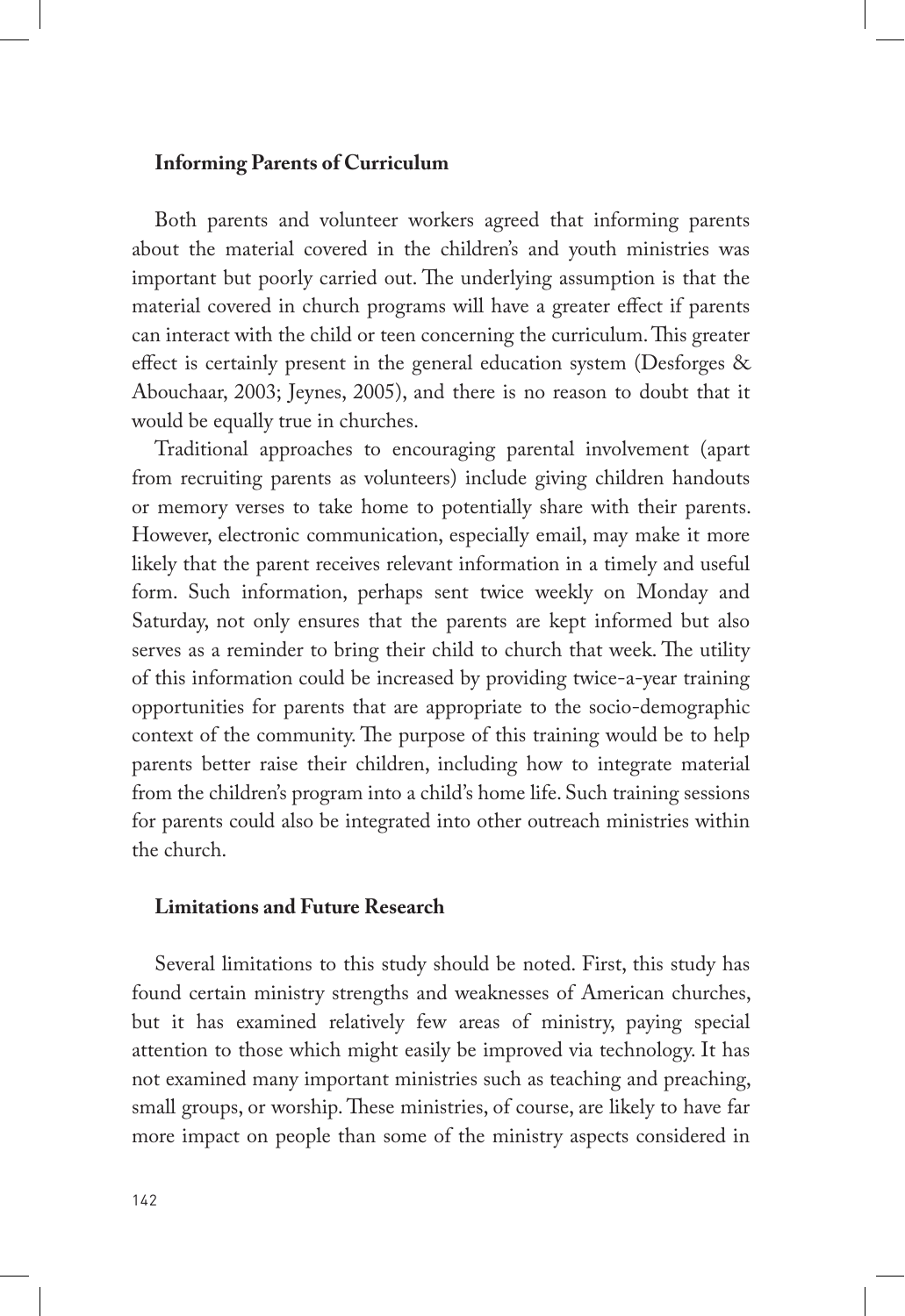## **Informing Parents of Curriculum**

Both parents and volunteer workers agreed that informing parents about the material covered in the children's and youth ministries was important but poorly carried out. The underlying assumption is that the material covered in church programs will have a greater effect if parents can interact with the child or teen concerning the curriculum. This greater effect is certainly present in the general education system (Desforges & Abouchaar, 2003; Jeynes, 2005), and there is no reason to doubt that it would be equally true in churches.

Traditional approaches to encouraging parental involvement (apart from recruiting parents as volunteers) include giving children handouts or memory verses to take home to potentially share with their parents. However, electronic communication, especially email, may make it more likely that the parent receives relevant information in a timely and useful form. Such information, perhaps sent twice weekly on Monday and Saturday, not only ensures that the parents are kept informed but also serves as a reminder to bring their child to church that week. The utility of this information could be increased by providing twice-a-year training opportunities for parents that are appropriate to the socio-demographic context of the community. The purpose of this training would be to help parents better raise their children, including how to integrate material from the children's program into a child's home life. Such training sessions for parents could also be integrated into other outreach ministries within the church.

## **Limitations and Future Research**

Several limitations to this study should be noted. First, this study has found certain ministry strengths and weaknesses of American churches, but it has examined relatively few areas of ministry, paying special attention to those which might easily be improved via technology. It has not examined many important ministries such as teaching and preaching, small groups, or worship. These ministries, of course, are likely to have far more impact on people than some of the ministry aspects considered in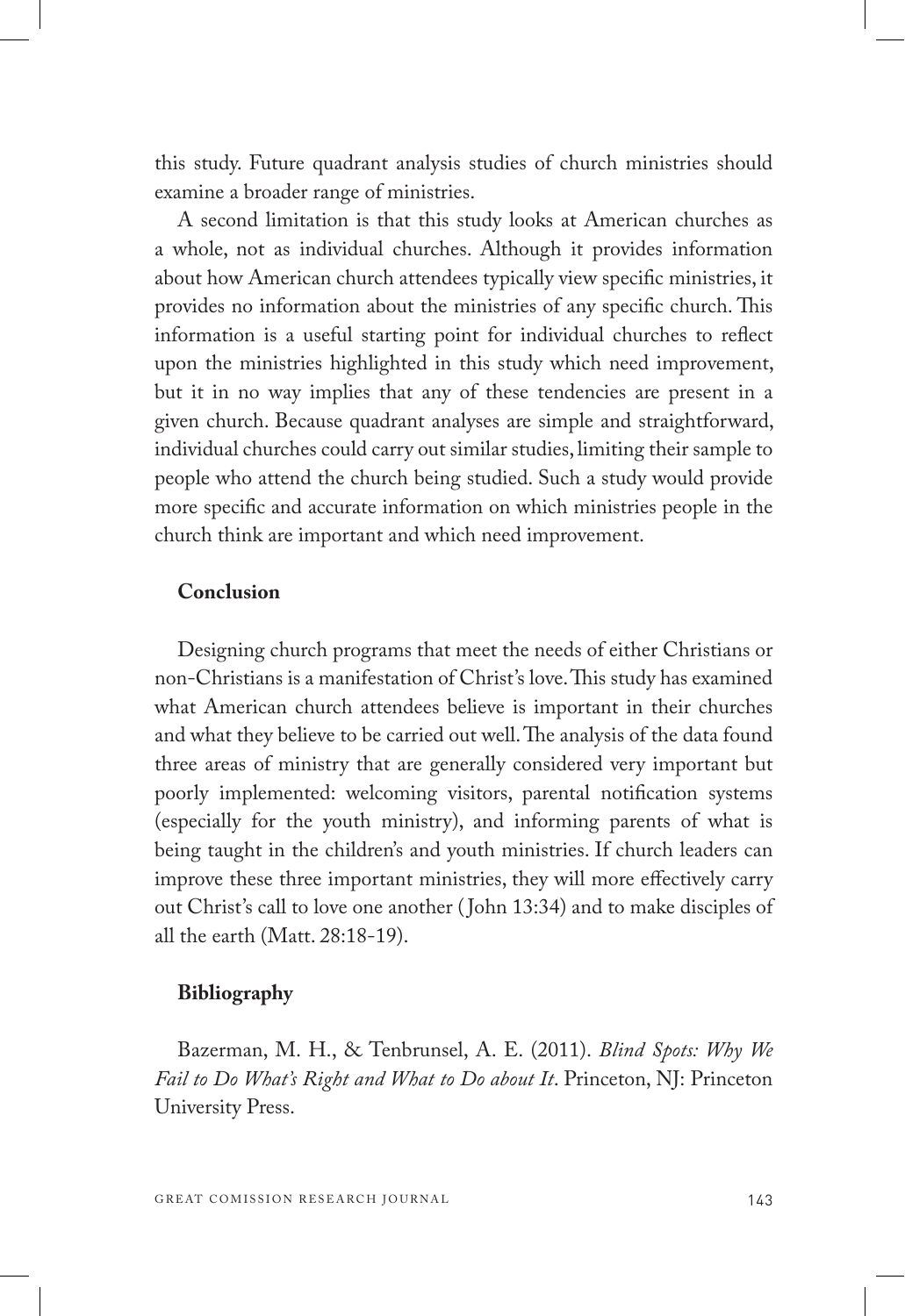this study. Future quadrant analysis studies of church ministries should examine a broader range of ministries.

A second limitation is that this study looks at American churches as a whole, not as individual churches. Although it provides information about how American church attendees typically view specific ministries, it provides no information about the ministries of any specific church. This information is a useful starting point for individual churches to reflect upon the ministries highlighted in this study which need improvement, but it in no way implies that any of these tendencies are present in a given church. Because quadrant analyses are simple and straightforward, individual churches could carry out similar studies, limiting their sample to people who attend the church being studied. Such a study would provide more specific and accurate information on which ministries people in the church think are important and which need improvement.

#### **Conclusion**

Designing church programs that meet the needs of either Christians or non-Christians is a manifestation of Christ's love. This study has examined what American church attendees believe is important in their churches and what they believe to be carried out well. The analysis of the data found three areas of ministry that are generally considered very important but poorly implemented: welcoming visitors, parental notification systems (especially for the youth ministry), and informing parents of what is being taught in the children's and youth ministries. If church leaders can improve these three important ministries, they will more effectively carry out Christ's call to love one another ( John 13:34) and to make disciples of all the earth (Matt. 28:18-19).

#### **Bibliography**

Bazerman, M. H., & Tenbrunsel, A. E. (2011). *Blind Spots: Why We Fail to Do What's Right and What to Do about It*. Princeton, NJ: Princeton University Press.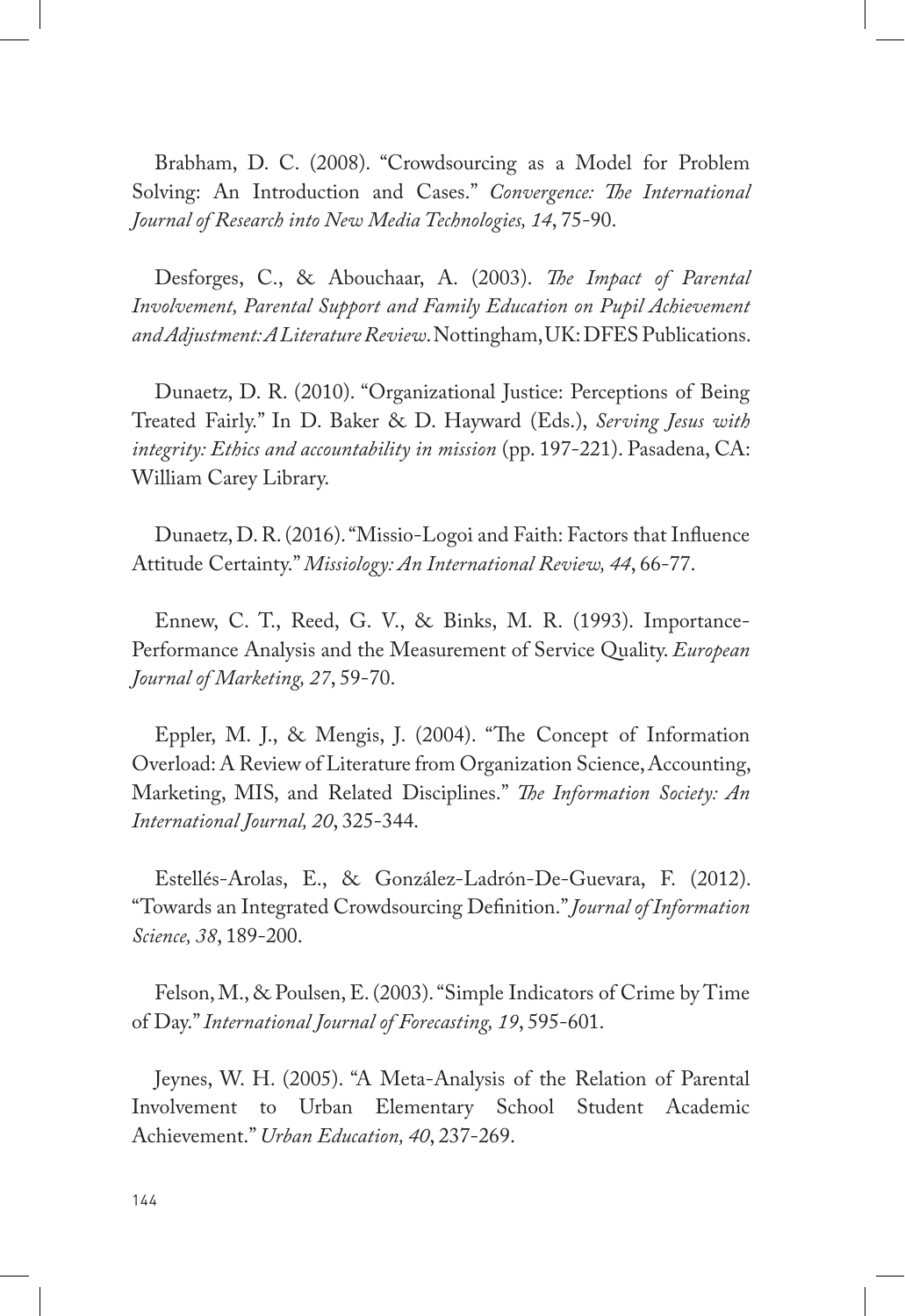Brabham, D. C. (2008). "Crowdsourcing as a Model for Problem Solving: An Introduction and Cases." *Convergence: The International Journal of Research into New Media Technologies, 14*, 75-90.

Desforges, C., & Abouchaar, A. (2003). *The Impact of Parental Involvement, Parental Support and Family Education on Pupil Achievement and Adjustment: A Literature Review*. Nottingham, UK: DFES Publications.

Dunaetz, D. R. (2010). "Organizational Justice: Perceptions of Being Treated Fairly." In D. Baker & D. Hayward (Eds.), *Serving Jesus with integrity: Ethics and accountability in mission* (pp. 197-221). Pasadena, CA: William Carey Library.

Dunaetz, D. R. (2016). "Missio-Logoi and Faith: Factors that Influence Attitude Certainty." *Missiology: An International Review, 44*, 66-77.

Ennew, C. T., Reed, G. V., & Binks, M. R. (1993). Importance-Performance Analysis and the Measurement of Service Quality. *European Journal of Marketing, 27*, 59-70.

Eppler, M. J., & Mengis, J. (2004). "The Concept of Information Overload: A Review of Literature from Organization Science, Accounting, Marketing, MIS, and Related Disciplines." *The Information Society: An International Journal, 20*, 325-344.

Estellés-Arolas, E., & González-Ladrón-De-Guevara, F. (2012). "Towards an Integrated Crowdsourcing Definition." *Journal of Information Science, 38*, 189-200.

Felson, M., & Poulsen, E. (2003). "Simple Indicators of Crime by Time of Day." *International Journal of Forecasting, 19*, 595-601.

Jeynes, W. H. (2005). "A Meta-Analysis of the Relation of Parental Involvement to Urban Elementary School Student Academic Achievement." *Urban Education, 40*, 237-269.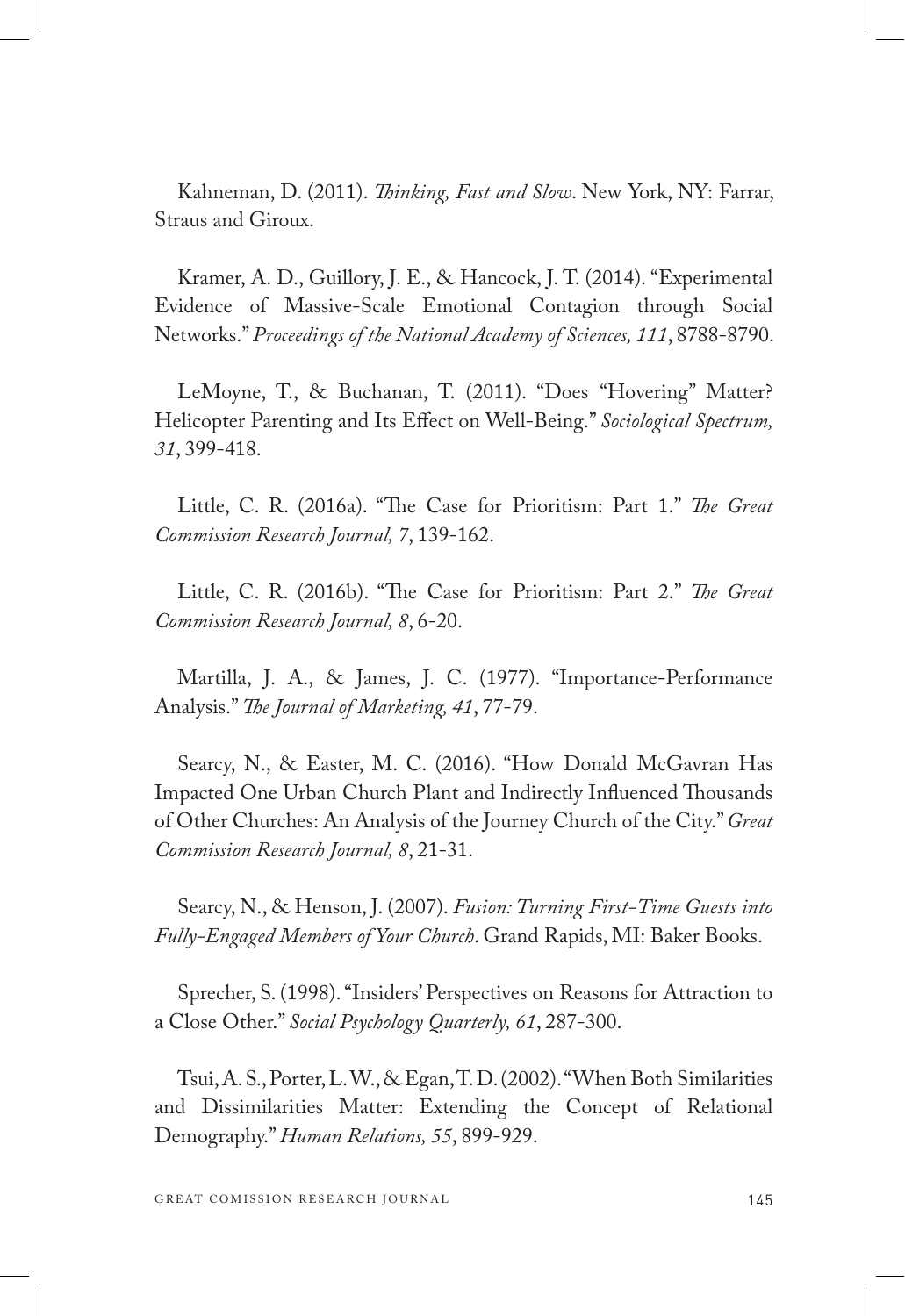Kahneman, D. (2011). *Thinking, Fast and Slow*. New York, NY: Farrar, Straus and Giroux.

Kramer, A. D., Guillory, J. E., & Hancock, J. T. (2014). "Experimental Evidence of Massive-Scale Emotional Contagion through Social Networks." *Proceedings of the National Academy of Sciences, 111*, 8788-8790.

LeMoyne, T., & Buchanan, T. (2011). "Does "Hovering" Matter? Helicopter Parenting and Its Effect on Well-Being." *Sociological Spectrum, 31*, 399-418.

Little, C. R. (2016a). "The Case for Prioritism: Part 1." *The Great Commission Research Journal, 7*, 139-162.

Little, C. R. (2016b). "The Case for Prioritism: Part 2." *The Great Commission Research Journal, 8*, 6-20.

Martilla, J. A., & James, J. C. (1977). "Importance-Performance Analysis." *The Journal of Marketing, 41*, 77-79.

Searcy, N., & Easter, M. C. (2016). "How Donald McGavran Has Impacted One Urban Church Plant and Indirectly Influenced Thousands of Other Churches: An Analysis of the Journey Church of the City." *Great Commission Research Journal, 8*, 21-31.

Searcy, N., & Henson, J. (2007). *Fusion: Turning First-Time Guests into Fully-Engaged Members of Your Church*. Grand Rapids, MI: Baker Books.

Sprecher, S. (1998). "Insiders' Perspectives on Reasons for Attraction to a Close Other." *Social Psychology Quarterly, 61*, 287-300.

Tsui, A. S., Porter, L. W., & Egan, T. D. (2002). "When Both Similarities and Dissimilarities Matter: Extending the Concept of Relational Demography." *Human Relations, 55*, 899-929.